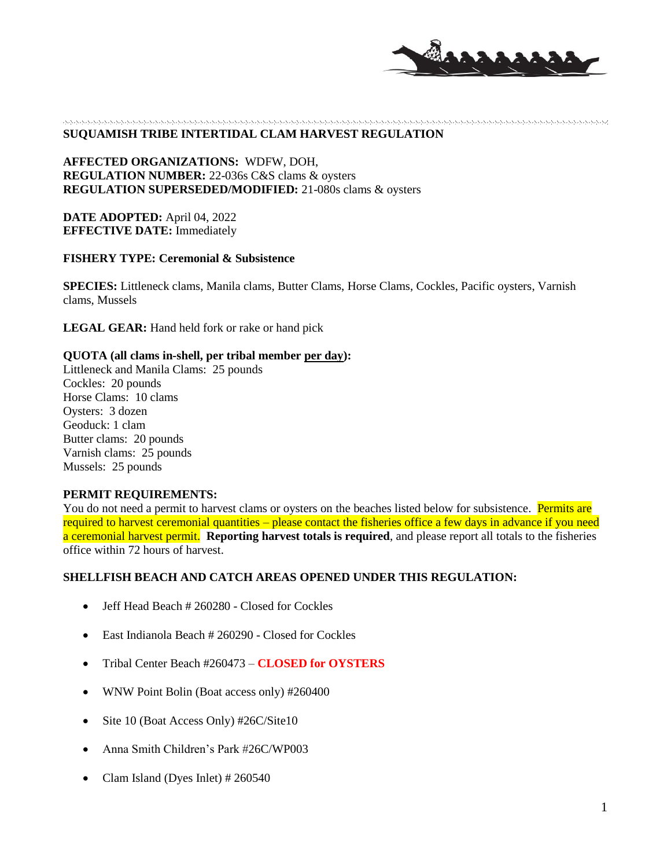

## **SUQUAMISH TRIBE INTERTIDAL CLAM HARVEST REGULATION**

**AFFECTED ORGANIZATIONS:** WDFW, DOH, **REGULATION NUMBER:** 22-036s C&S clams & oysters **REGULATION SUPERSEDED/MODIFIED:** 21-080s clams & oysters

**DATE ADOPTED:** April 04, 2022 **EFFECTIVE DATE:** Immediately

### **FISHERY TYPE: Ceremonial & Subsistence**

**SPECIES:** Littleneck clams, Manila clams, Butter Clams, Horse Clams, Cockles, Pacific oysters, Varnish clams, Mussels

LEGAL GEAR: Hand held fork or rake or hand pick

#### **QUOTA (all clams in-shell, per tribal member per day):**

Littleneck and Manila Clams: 25 pounds Cockles: 20 pounds Horse Clams: 10 clams Oysters: 3 dozen Geoduck: 1 clam Butter clams: 20 pounds Varnish clams: 25 pounds Mussels: 25 pounds

# **PERMIT REQUIREMENTS:**

You do not need a permit to harvest clams or oysters on the beaches listed below for subsistence. Permits are required to harvest ceremonial quantities – please contact the fisheries office a few days in advance if you need a ceremonial harvest permit. **Reporting harvest totals is required**, and please report all totals to the fisheries office within 72 hours of harvest.

#### **SHELLFISH BEACH AND CATCH AREAS OPENED UNDER THIS REGULATION:**

- Jeff Head Beach # 260280 Closed for Cockles
- East Indianola Beach # 260290 Closed for Cockles
- Tribal Center Beach #260473 **CLOSED for OYSTERS**
- WNW Point Bolin (Boat access only) #260400
- Site 10 (Boat Access Only) #26C/Site10
- Anna Smith Children's Park #26C/WP003
- Clam Island (Dyes Inlet) # 260540